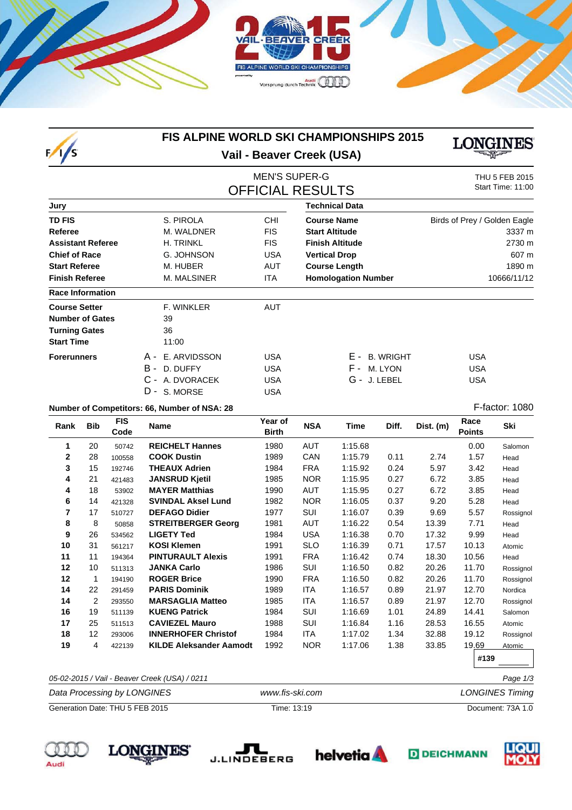



## **FIS ALPINE WORLD SKI CHAMPIONSHIPS 2015 Vail - Beaver Creek (USA)**



# MEN'S SUPER-G<br>
THU 5 FEB 2015<br>
Start Time: 11:00 **OFFICIAL RESULTS**

| Jury                     |                  |            | <b>Technical Data</b>      |                              |  |  |  |
|--------------------------|------------------|------------|----------------------------|------------------------------|--|--|--|
| <b>TD FIS</b>            | S. PIROLA        | <b>CHI</b> | <b>Course Name</b>         | Birds of Prey / Golden Eagle |  |  |  |
| Referee                  | M. WALDNER       | <b>FIS</b> | <b>Start Altitude</b>      | 3337 m                       |  |  |  |
| <b>Assistant Referee</b> | <b>H. TRINKL</b> | <b>FIS</b> | <b>Finish Altitude</b>     | 2730 m                       |  |  |  |
| <b>Chief of Race</b>     | G. JOHNSON       | <b>USA</b> | <b>Vertical Drop</b>       | 607 m                        |  |  |  |
| <b>Start Referee</b>     | M. HUBER         | AUT        | <b>Course Length</b>       | 1890 m                       |  |  |  |
| <b>Finish Referee</b>    | M. MALSINER      | <b>ITA</b> | <b>Homologation Number</b> | 10666/11/12                  |  |  |  |
| <b>Race Information</b>  |                  |            |                            |                              |  |  |  |
| <b>Course Setter</b>     | F. WINKLER       | <b>AUT</b> |                            |                              |  |  |  |
| <b>Number of Gates</b>   | 39               |            |                            |                              |  |  |  |
| <b>Turning Gates</b>     | 36               |            |                            |                              |  |  |  |
| <b>Start Time</b>        | 11:00            |            |                            |                              |  |  |  |
| <b>Forerunners</b>       | A - E. ARVIDSSON | <b>USA</b> | E -<br><b>B. WRIGHT</b>    | <b>USA</b>                   |  |  |  |
|                          | B - D. DUFFY     | <b>USA</b> | F - 1<br>M. LYON           | <b>USA</b>                   |  |  |  |
|                          | C - A. DVORACEK  | <b>USA</b> | G - J. LEBEL               | <b>USA</b>                   |  |  |  |
|                          | D - S. MORSE     | USA        |                            |                              |  |  |  |

#### **Number of Competitors: 66, Number of NSA: 28** F-factor: 1080

**Rank Bib FIS Name Year of NSA Time Dist. (m) Diff. Race Ski Code Birth Points** 20 50742 **REICHELT Hannes** 1980 AUT 1:15.68 0.00 Salomon 28 100558 **COOK Dustin** 1989 CAN 1:15.79 0.11 2.74 1.57 Head 15 192746 **THEAUX Adrien** 1984 FRA 1:15.92 0.24 5.97 3.42 Head 21 421483 **JANSRUD Kjetil** 1985 NOR 1:15.95 0.27 6.72 3.85 Head 18 53902 **MAYER Matthias** 1990 AUT 1:15.95 0.27 6.72 3.85 Head 14 421328 **SVINDAL Aksel Lund** 1982 NOR 1:16.05 0.37 9.20 5.28 Head 17 510727 **DEFAGO Didier** 1977 SUI 1:16.07 0.39 9.69 5.57 Rossignol 8 50858 **STREITBERGER Georg** 1981 AUT 1:16.22 0.54 13.39 7.71 Head 26 534562 **LIGETY Ted** 1984 USA 1:16.38 0.70 17.32 9.99 Head 31 561217 **KOSI Klemen** 1991 SLO 1:16.39 0.71 17.57 10.13 Atomic 11 194364 **PINTURAULT Alexis** 1991 FRA 1:16.42 0.74 18.30 10.56 Head 10 511313 **JANKA Carlo** 1986 SUI 1:16.50 0.82 20.26 11.70 Rossignol 1 194190 **ROGER Brice** 1990 FRA 1:16.50 0.82 20.26 11.70 Rossignol 22 291459 **PARIS Dominik** 1989 ITA 1:16.57 0.89 21.97 12.70 Nordica 2 293550 **MARSAGLIA Matteo** 1985 ITA 1:16.57 0.89 21.97 12.70 Rossignol 19 511139 **KUENG Patrick** 1984 SUI 1:16.69 1.01 24.89 14.41 Salomon 25 511513 **CAVIEZEL Mauro** 1988 SUI 1:16.84 1.16 28.53 16.55 Atomic 12 293006 **INNERHOFER Christof** 1984 ITA 1:17.02 1.34 32.88 19.12 Rossignol 4 422139 **KILDE Aleksander Aamodt** 1992 NOR 1:17.06 1.38 33.85 19.69 Atomic

| 05-02-2015 / Vail - Beaver Creek (USA) / 0211 | Page 1/3        |                        |
|-----------------------------------------------|-----------------|------------------------|
| Data Processing by LONGINES                   | www.fis-ski.com | <b>LONGINES Timing</b> |
| Generation Date: THU 5 FEB 2015               | Time: 13:19     | Document: 73A 1.0      |

**#139**











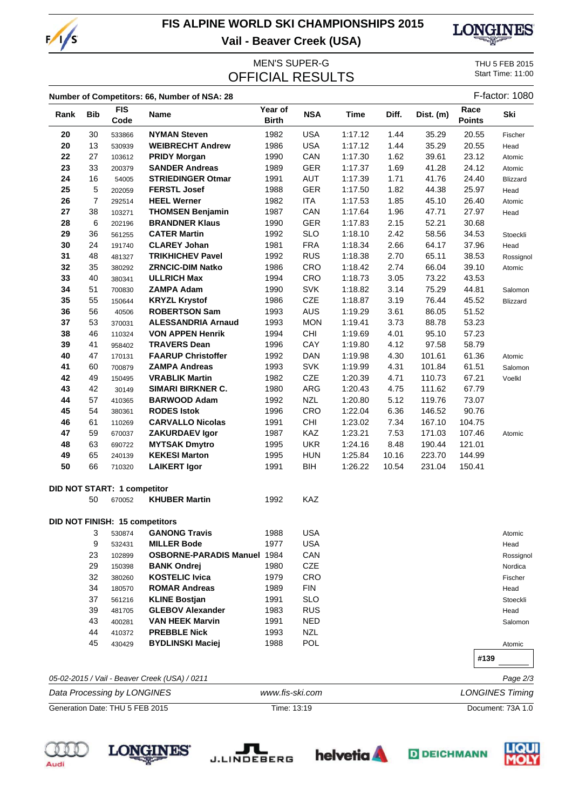

# **FIS ALPINE WORLD SKI CHAMPIONSHIPS 2015 Vail - Beaver Creek (USA)**



MEN'S SUPER-G<br>
FICIAL RESLILTS<br>
FICIAL RESLILTS **OFFICIAL RESULTS** 

|                                 |            |                                    | Number of Competitors: 66, Number of NSA: 28  |                         |            |             |       |                        |                       | F-factor: 1080    |
|---------------------------------|------------|------------------------------------|-----------------------------------------------|-------------------------|------------|-------------|-------|------------------------|-----------------------|-------------------|
| Rank                            | <b>Bib</b> | <b>FIS</b><br>Code                 | <b>Name</b>                                   | Year of<br><b>Birth</b> | <b>NSA</b> | <b>Time</b> | Diff. | Dist. (m)              | Race<br><b>Points</b> | Ski               |
| 20                              | 30         | 533866                             | <b>NYMAN Steven</b>                           | 1982                    | <b>USA</b> | 1:17.12     | 1.44  | 35.29                  | 20.55                 | Fischer           |
| 20                              | 13         | 530939                             | <b>WEIBRECHT Andrew</b>                       | 1986                    | <b>USA</b> | 1:17.12     | 1.44  | 35.29                  | 20.55                 | Head              |
| 22                              | 27         | 103612                             | <b>PRIDY Morgan</b>                           | 1990                    | CAN        | 1:17.30     | 1.62  | 39.61                  | 23.12                 | Atomic            |
| 23                              | 33         | 200379                             | <b>SANDER Andreas</b>                         | 1989                    | <b>GER</b> | 1:17.37     | 1.69  | 41.28                  | 24.12                 | Atomic            |
| 24                              | 16         | 54005                              | <b>STRIEDINGER Otmar</b>                      | 1991                    | AUT        | 1:17.39     | 1.71  | 41.76                  | 24.40                 | Blizzard          |
| 25                              | 5          | 202059                             | <b>FERSTL Josef</b>                           | 1988                    | <b>GER</b> | 1:17.50     | 1.82  | 44.38                  | 25.97                 | Head              |
| 26                              | 7          | 292514                             | <b>HEEL Werner</b>                            | 1982                    | <b>ITA</b> | 1:17.53     | 1.85  | 45.10                  | 26.40                 | Atomic            |
| 27                              | 38         | 103271                             | <b>THOMSEN Benjamin</b>                       | 1987                    | CAN        | 1:17.64     | 1.96  | 47.71                  | 27.97                 | Head              |
| 28                              | 6          | 202196                             | <b>BRANDNER Klaus</b>                         | 1990                    | <b>GER</b> | 1:17.83     | 2.15  | 52.21                  | 30.68                 |                   |
| 29                              | 36         | 561255                             | <b>CATER Martin</b>                           | 1992                    | <b>SLO</b> | 1:18.10     | 2.42  | 58.56                  | 34.53                 | Stoeckli          |
| 30                              | 24         | 191740                             | <b>CLAREY Johan</b>                           | 1981                    | <b>FRA</b> | 1:18.34     | 2.66  | 64.17                  | 37.96                 | Head              |
| 31                              | 48         | 481327                             | <b>TRIKHICHEV Pavel</b>                       | 1992                    | <b>RUS</b> | 1:18.38     | 2.70  | 65.11                  | 38.53                 | Rossignol         |
| 32                              | 35         | 380292                             | <b>ZRNCIC-DIM Natko</b>                       | 1986                    | CRO        | 1:18.42     | 2.74  | 66.04                  | 39.10                 | Atomic            |
| 33                              | 40         | 380341                             | <b>ULLRICH Max</b>                            | 1994                    | CRO        | 1:18.73     | 3.05  | 73.22                  | 43.53                 |                   |
| 34                              | 51         | 700830                             | <b>ZAMPA Adam</b>                             | 1990                    | <b>SVK</b> | 1:18.82     | 3.14  | 75.29                  | 44.81                 | Salomon           |
| 35                              | 55         | 150644                             | <b>KRYZL Krystof</b>                          | 1986                    | <b>CZE</b> | 1:18.87     | 3.19  | 76.44                  | 45.52                 | Blizzard          |
| 36                              | 56         | 40506                              | <b>ROBERTSON Sam</b>                          | 1993                    | <b>AUS</b> | 1:19.29     | 3.61  | 86.05                  | 51.52                 |                   |
| 37                              | 53         | 370031                             | <b>ALESSANDRIA Arnaud</b>                     | 1993                    | <b>MON</b> | 1:19.41     | 3.73  | 88.78                  | 53.23                 |                   |
| 38                              | 46         | 110324                             | <b>VON APPEN Henrik</b>                       | 1994                    | CHI        | 1:19.69     | 4.01  | 95.10                  | 57.23                 |                   |
| 39                              | 41         | 958402                             | <b>TRAVERS Dean</b>                           | 1996                    | CAY        | 1:19.80     | 4.12  | 97.58                  | 58.79                 |                   |
| 40                              | 47         | 170131                             | <b>FAARUP Christoffer</b>                     | 1992                    | <b>DAN</b> | 1:19.98     | 4.30  | 101.61                 | 61.36                 | Atomic            |
| 41                              | 60         | 700879                             | <b>ZAMPA Andreas</b>                          | 1993                    | <b>SVK</b> | 1:19.99     | 4.31  | 101.84                 | 61.51                 | Salomon           |
| 42                              | 49         | 150495                             | <b>VRABLIK Martin</b>                         | 1982                    | CZE        | 1:20.39     | 4.71  | 110.73                 | 67.21                 | Voelkl            |
| 43                              | 42         | 30149                              | <b>SIMARI BIRKNER C.</b>                      | 1980                    | ARG        | 1:20.43     | 4.75  | 111.62                 | 67.79                 |                   |
| 44                              | 57         | 410365                             | <b>BARWOOD Adam</b>                           | 1992                    | <b>NZL</b> | 1:20.80     | 5.12  | 119.76                 | 73.07                 |                   |
| 45                              | 54         | 380361                             | <b>RODES Istok</b>                            | 1996                    | CRO        | 1:22.04     | 6.36  | 146.52                 | 90.76                 |                   |
| 46                              | 61         | 110269                             | <b>CARVALLO Nicolas</b>                       | 1991                    | CHI        | 1:23.02     | 7.34  | 167.10                 | 104.75                |                   |
| 47                              | 59         | 670037                             | <b>ZAKURDAEV Igor</b>                         | 1987                    | KAZ        | 1:23.21     | 7.53  | 171.03                 | 107.46                | Atomic            |
| 48                              | 63         | 690722                             | <b>MYTSAK Dmytro</b>                          | 1995                    | <b>UKR</b> | 1:24.16     | 8.48  | 190.44                 | 121.01                |                   |
| 49                              | 65         | 240139                             | <b>KEKESI Marton</b>                          | 1995                    | <b>HUN</b> | 1:25.84     | 10.16 | 223.70                 | 144.99                |                   |
| 50                              | 66         | 710320                             | <b>LAIKERT Igor</b>                           | 1991                    | <b>BIH</b> | 1:26.22     | 10.54 | 231.04                 | 150.41                |                   |
|                                 |            | <b>DID NOT START: 1 competitor</b> |                                               |                         |            |             |       |                        |                       |                   |
|                                 | 50         | 670052                             | <b>KHUBER Martin</b>                          | 1992                    | KAZ        |             |       |                        |                       |                   |
|                                 |            |                                    | <b>DID NOT FINISH: 15 competitors</b>         |                         |            |             |       |                        |                       |                   |
|                                 | 3          | 530874                             | <b>GANONG Travis</b>                          | 1988                    | <b>USA</b> |             |       |                        |                       | Atomic            |
|                                 | 9          | 532431                             | <b>MILLER Bode</b>                            | 1977                    | <b>USA</b> |             |       |                        |                       | Head              |
|                                 | 23         | 102899                             | <b>OSBORNE-PARADIS Manuel 1984</b>            |                         | CAN        |             |       |                        |                       | Rossignol         |
|                                 | 29         | 150398                             | <b>BANK Ondrej</b>                            | 1980                    | CZE        |             |       |                        |                       | Nordica           |
|                                 | 32         | 380260                             | <b>KOSTELIC Ivica</b>                         | 1979                    | <b>CRO</b> |             |       |                        |                       | Fischer           |
|                                 | 34         | 180570                             | <b>ROMAR Andreas</b>                          | 1989                    | <b>FIN</b> |             |       |                        |                       | Head              |
|                                 | 37         | 561216                             | <b>KLINE Bostjan</b>                          | 1991                    | <b>SLO</b> |             |       |                        |                       | Stoeckli          |
|                                 | 39         | 481705                             | <b>GLEBOV Alexander</b>                       | 1983                    | <b>RUS</b> |             |       |                        |                       | Head              |
|                                 | 43         | 400281                             | <b>VAN HEEK Marvin</b>                        | 1991                    | <b>NED</b> |             |       |                        |                       | Salomon           |
|                                 | 44         | 410372                             | <b>PREBBLE Nick</b>                           | 1993                    | <b>NZL</b> |             |       |                        |                       |                   |
|                                 | 45         | 430429                             | <b>BYDLINSKI Maciej</b>                       | 1988                    | <b>POL</b> |             |       |                        |                       | Atomic            |
|                                 |            |                                    |                                               |                         |            |             |       |                        | #139                  |                   |
|                                 |            |                                    | 05-02-2015 / Vail - Beaver Creek (USA) / 0211 |                         |            |             |       |                        |                       | Page 2/3          |
| Data Processing by LONGINES     |            |                                    | www.fis-ski.com                               |                         |            |             |       | <b>LONGINES Timing</b> |                       |                   |
| Generation Date: THU 5 FEB 2015 |            |                                    |                                               | Time: 13:19             |            |             |       |                        |                       | Document: 73A 1.0 |
|                                 |            |                                    |                                               |                         |            |             |       |                        |                       |                   |